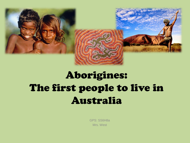

#### Aborigines: The first people to live in Australia

GPS: SS6H8a Mrs. West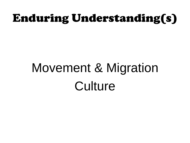### Enduring Understanding(s)

# Movement & Migration **Culture**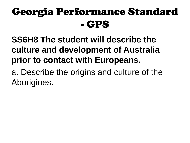#### Georgia Performance Standard - GPS

**SS6H8 The student will describe the culture and development of Australia prior to contact with Europeans.** 

a. Describe the origins and culture of the Aborigines.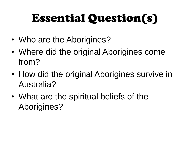## Essential Question(s)

- Who are the Aborigines?
- Where did the original Aborigines come from?
- How did the original Aborigines survive in Australia?
- What are the spiritual beliefs of the Aborigines?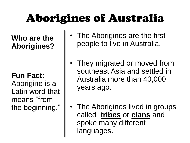**Who are the Aborigines?** 

**Fun Fact:**  Aborigine is a Latin word that means "from the beginning."

- The Aborigines are the first people to live in Australia.
- They migrated or moved from southeast Asia and settled in Australia more than 40,000 years ago.
- The Aborigines lived in groups called **tribes** or **clans** and spoke many different languages.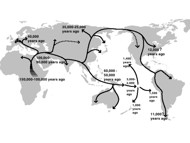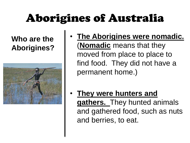#### **Who are the Aborigines?**



- **The Aborigines were nomadic.**  (**Nomadic** means that they moved from place to place to find food. They did not have a permanent home.)
- **They were hunters and gathers.** They hunted animals and gathered food, such as nuts and berries, to eat.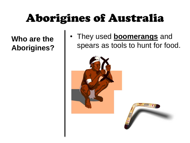**Who are the Aborigines?**  • They used **boomerangs** and spears as tools to hunt for food.



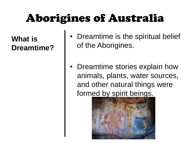**What is Dreamtime?**

- Dreamtime is the spiritual belief of the Aborigines.
- Dreamtime stories explain how animals, plants, water sources, and other natural things were formed by spirit beings.

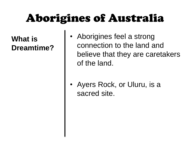**What is Dreamtime?**

- Aborigines feel a strong connection to the land and believe that they are caretakers of the land.
- Ayers Rock, or Uluru, is a sacred site.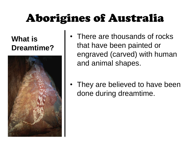#### **What is Dreamtime?**



- There are thousands of rocks that have been painted or engraved (carved) with human and animal shapes.
- They are believed to have been done during dreamtime.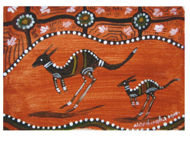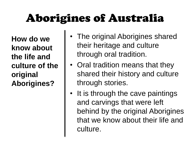**How do we know about the life and culture of the original Aborigines?**

- The original Aborigines shared their heritage and culture through oral tradition.
- Oral tradition means that they shared their history and culture through stories.
- It is through the cave paintings and carvings that were left behind by the original Aborigines that we know about their life and culture.